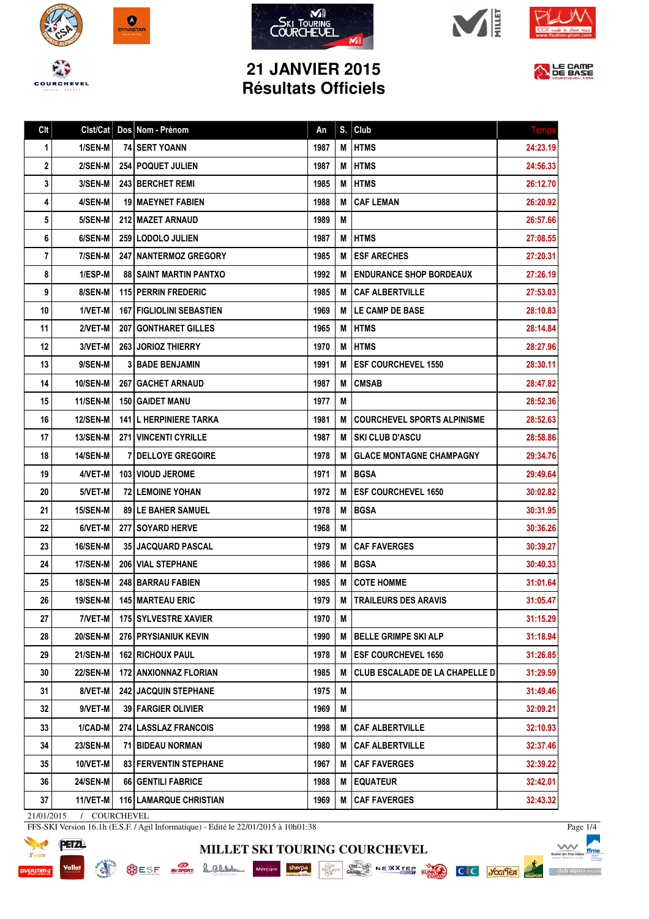









## **21 JANVIER 2015 Résultats Officiels**



| Clt | Clst/Cat        | Dos Nom - Prénom                | An   | S. | Club                                  | <b>Temp:</b> |
|-----|-----------------|---------------------------------|------|----|---------------------------------------|--------------|
| 1   | 1/SEN-M         | <b>74 SERT YOANN</b>            | 1987 | М  | <b>HTMS</b>                           | 24:23.19     |
| 2   | 2/SEN-M         | <b>254   POQUET JULIEN</b>      | 1987 | M  | <b>HTMS</b>                           | 24:56.33     |
| 3   | 3/SEN-M         | 243 BERCHET REMI                | 1985 | М  | <b>HTMS</b>                           | 26:12.70     |
| 4   | 4/SEN-M         | <b>19   MAEYNET FABIEN</b>      | 1988 | M  | <b>CAF LEMAN</b>                      | 26:20.92     |
| 5   | 5/SEN-M         | 212   MAZET ARNAUD              | 1989 | M  |                                       | 26:57.66     |
| 6   | 6/SEN-M         | 259   LODOLO JULIEN             | 1987 | Μ  | <b>HTMS</b>                           | 27:08.55     |
| 7   | 7/SEN-M         | <b>247   NANTERMOZ GREGORY</b>  | 1985 | М  | <b>ESF ARECHES</b>                    | 27:20.31     |
| 8   | 1/ESP-M         | <b>88 I SAINT MARTIN PANTXO</b> | 1992 | M  | <b>ENDURANCE SHOP BORDEAUX</b>        | 27:26.19     |
| 9   | 8/SEN-M         | <b>115 PERRIN FREDERIC</b>      | 1985 | M  | <b>CAF ALBERTVILLE</b>                | 27:53.03     |
| 10  | 1/VET-M         | <b>167 FIGLIOLINI SEBASTIEN</b> | 1969 | М  | <b>LE CAMP DE BASE</b>                | 28:10.83     |
| 11  | 2/VET-M         | <b>207   GONTHARET GILLES</b>   | 1965 | M  | <b>HTMS</b>                           | 28:14.84     |
| 12  | 3/VET-M         | <b>263 JORIOZ THIERRY</b>       | 1970 | М  | <b>HTMS</b>                           | 28:27.96     |
| 13  | 9/SEN-M         | <b>3 BADE BENJAMIN</b>          | 1991 | М  | <b>ESF COURCHEVEL 1550</b>            | 28:30.11     |
| 14  | <b>10/SEN-M</b> | <b>267 GACHET ARNAUD</b>        | 1987 | М  | <b>CMSAB</b>                          | 28:47.82     |
| 15  | <b>11/SEN-M</b> | 150   GAIDET MANU               | 1977 | M  |                                       | 28:52.36     |
| 16  | <b>12/SEN-M</b> | <b>141 L HERPINIERE TARKA</b>   | 1981 | М  | <b>COURCHEVEL SPORTS ALPINISME</b>    | 28:52.63     |
| 17  | <b>13/SEN-M</b> | 271 VINCENTI CYRILLE            | 1987 | М  | SKI CLUB D'ASCU                       | 28:58.86     |
| 18  | <b>14/SEN-M</b> | <b>7 DELLOYE GREGOIRE</b>       | 1978 | M  | <b>GLACE MONTAGNE CHAMPAGNY</b>       | 29:34.76     |
| 19  | 4/VET-M         | <b>103 I VIOUD JEROME</b>       | 1971 | Μ  | <b>BGSA</b>                           | 29:49.64     |
| 20  | 5/VET-M         | <b>72 LEMOINE YOHAN</b>         | 1972 | М  | <b>ESF COURCHEVEL 1650</b>            | 30:02.82     |
| 21  | <b>15/SEN-M</b> | <b>89 I LE BAHER SAMUEL</b>     | 1978 | М  | <b>BGSA</b>                           | 30:31.95     |
| 22  | 6/VET-M         | <b>277 I SOYARD HERVE</b>       | 1968 | М  |                                       | 30:36.26     |
| 23  | <b>16/SEN-M</b> | <b>35 JACQUARD PASCAL</b>       | 1979 | М  | <b>CAF FAVERGES</b>                   | 30:39.27     |
| 24  | 17/SEN-M        | <b>206 VIAL STEPHANE</b>        | 1986 | М  | <b>BGSA</b>                           | 30:40.33     |
| 25  | <b>18/SEN-M</b> | <b>248 BARRAU FABIEN</b>        | 1985 | М  | <b>COTE HOMME</b>                     | 31:01.64     |
| 26  | 19/SEN-M        | 145 MARTEAU ERIC                | 1979 | M  | TRAILEURS DES ARAVIS                  | 31:05.47     |
| 27  | 7/VET-M         | 175 SYLVESTRE XAVIER            | 1970 | M  |                                       | 31:15.29     |
| 28  | <b>20/SEN-M</b> | <b>276 PRYSIANIUK KEVIN</b>     | 1990 | M  | <b>BELLE GRIMPE SKI ALP</b>           | 31:18.94     |
| 29  | <b>21/SEN-M</b> | <b>162   RICHOUX PAUL</b>       | 1978 | Μ  | <b>ESF COURCHEVEL 1650</b>            | 31:26.85     |
| 30  | <b>22/SEN-M</b> | 172   ANXIONNAZ FLORIAN         | 1985 | M  | <b>CLUB ESCALADE DE LA CHAPELLE D</b> | 31:29.59     |
| 31  | 8/VET-M         | <b>242 JACQUIN STEPHANE</b>     | 1975 | M  |                                       | 31:49.46     |
| 32  | 9/VET-M         | 39   FARGIER OLIVIER            | 1969 | Μ  |                                       | 32:09.21     |
| 33  | 1/CAD-M         | <b>274 LASSLAZ FRANCOIS</b>     | 1998 | M  | <b>CAF ALBERTVILLE</b>                | 32:10.93     |
| 34  | <b>23/SEN-M</b> | 71   BIDEAU NORMAN              | 1980 | М  | <b>CAF ALBERTVILLE</b>                | 32:37.46     |
| 35  | 10/VET-M        | <b>83 FERVENTIN STEPHANE</b>    | 1967 | М  | <b>CAF FAVERGES</b>                   | 32:39.22     |
| 36  | <b>24/SEN-M</b> | 66 GENTILI FABRICE              | 1988 | Μ  | <b>EQUATEUR</b>                       | 32:42.01     |
| 37  | 11/VET-M        | <b>116   LAMARQUE CHRISTIAN</b> | 1969 | M  | <b>CAF FAVERGES</b>                   | 32:43.32     |

**MILLET SKI TOURING COURCHEVEL**

21/01/2015 / COURCHEVEL

**READ** 

FFS-SKI Version 16.1h (E.S.F. / Agil Informatique) - Edité le 22/01/2015 à 10h01:38



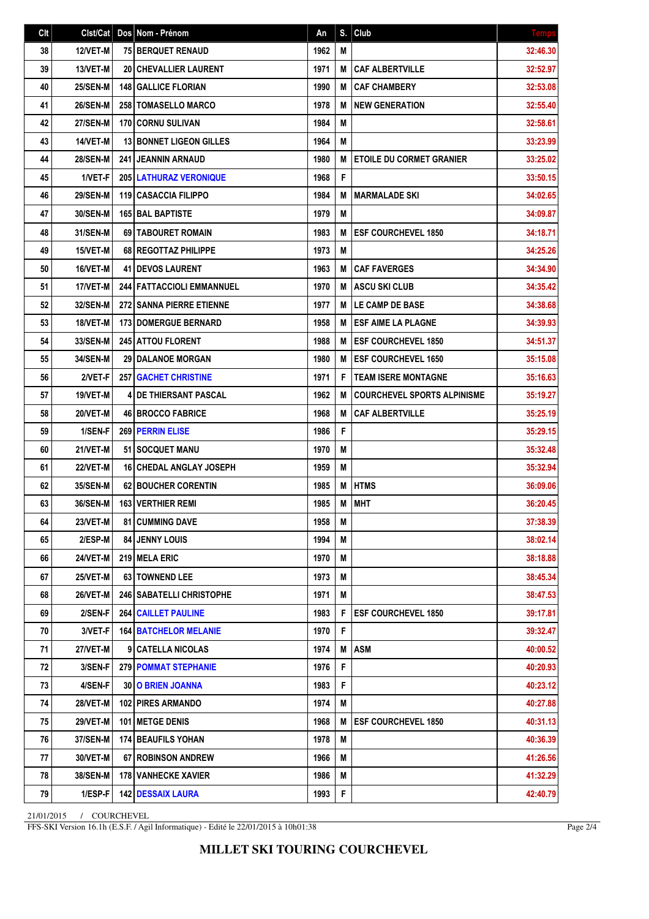| Clt | Clst/Cat        | Dos Nom - Prénom                | An   | S. | Club                               | <b>Temps</b> |
|-----|-----------------|---------------------------------|------|----|------------------------------------|--------------|
| 38  | <b>12/VET-M</b> | <b>75 BERQUET RENAUD</b>        | 1962 | M  |                                    | 32:46.30     |
| 39  | 13/VET-M        | <b>20 CHEVALLIER LAURENT</b>    | 1971 | М  | <b>CAF ALBERTVILLE</b>             | 32:52.97     |
| 40  | <b>25/SEN-M</b> | <b>148 GALLICE FLORIAN</b>      | 1990 | M  | <b>CAF CHAMBERY</b>                | 32:53.08     |
| 41  | <b>26/SEN-M</b> | 258   TOMASELLO MARCO           | 1978 | М  | <b>NEW GENERATION</b>              | 32:55.40     |
| 42  | <b>27/SEN-M</b> | 170 CORNU SULIVAN               | 1984 | M  |                                    | 32:58.61     |
| 43  | 14/VET-M        | <b>13 BONNET LIGEON GILLES</b>  | 1964 | M  |                                    | 33:23.99     |
| 44  | <b>28/SEN-M</b> | <b>241 JEANNIN ARNAUD</b>       | 1980 | M  | <b>ETOILE DU CORMET GRANIER</b>    | 33:25.02     |
| 45  | 1/VET-F         | <b>205 LATHURAZ VERONIQUE</b>   | 1968 | F  |                                    | 33:50.15     |
| 46  | <b>29/SEN-M</b> | 119 CASACCIA FILIPPO            | 1984 | M  | <b>MARMALADE SKI</b>               | 34:02.65     |
| 47  | 30/SEN-M        | <b>165 BAL BAPTISTE</b>         | 1979 | M  |                                    | 34:09.87     |
| 48  | 31/SEN-M        | 69   TABOURET ROMAIN            | 1983 | М  | <b>ESF COURCHEVEL 1850</b>         | 34:18.71     |
| 49  | 15/VET-M        | 68 REGOTTAZ PHILIPPE            | 1973 | M  |                                    | 34:25.26     |
| 50  | 16/VET-M        | <b>41 I DEVOS LAURENT</b>       | 1963 | M  | <b>CAF FAVERGES</b>                | 34:34.90     |
| 51  | 17/VET-M        | 244 FATTACCIOLI EMMANNUEL       | 1970 | M  | <b>ASCU SKI CLUB</b>               | 34:35.42     |
| 52  | 32/SEN-M        | <b>272 SANNA PIERRE ETIENNE</b> | 1977 | М  | LE CAMP DE BASE                    | 34:38.68     |
| 53  | 18/VET-M        | <b>173 DOMERGUE BERNARD</b>     | 1958 | M  | <b>ESF AIME LA PLAGNE</b>          | 34:39.93     |
| 54  | 33/SEN-M        | 245 ATTOU FLORENT               | 1988 | M  | <b>ESF COURCHEVEL 1850</b>         | 34:51.37     |
| 55  | 34/SEN-M        | 29 DALANOE MORGAN               | 1980 | M  | <b>ESF COURCHEVEL 1650</b>         | 35:15.08     |
| 56  | 2/VET-F         | <b>257 GACHET CHRISTINE</b>     | 1971 | F  | <b>TEAM ISERE MONTAGNE</b>         | 35:16.63     |
| 57  | 19/VET-M        | <b>4 IDE THIERSANT PASCAL</b>   | 1962 | M  | <b>COURCHEVEL SPORTS ALPINISME</b> | 35:19.27     |
| 58  | <b>20/VET-M</b> | <b>46   BROCCO FABRICE</b>      | 1968 | M  | <b>CAF ALBERTVILLE</b>             | 35:25.19     |
| 59  | 1/SEN-F         | 269 PERRIN ELISE                | 1986 | F  |                                    | 35:29.15     |
| 60  | 21/VET-M        | 51 SOCQUET MANU                 | 1970 | Μ  |                                    | 35:32.48     |
| 61  | <b>22/VET-M</b> | <b>16 CHEDAL ANGLAY JOSEPH</b>  | 1959 | M  |                                    | 35:32.94     |
| 62  | 35/SEN-M        | 62 BOUCHER CORENTIN             | 1985 | M  | <b>HTMS</b>                        | 36:09.06     |
| 63  | 36/SEN-M        | <b>163 VERTHIER REMI</b>        | 1985 | M  | <b>MHT</b>                         | 36:20.45     |
| 64  | <b>23/VET-M</b> | <b>81 CUMMING DAVE</b>          | 1958 | M  |                                    | 37:38.39     |
| 65  | 2/ESP-M         | <b>84   JENNY LOUIS</b>         | 1994 | M  |                                    | 38:02.14     |
| 66  | <b>24/VET-M</b> | <b>219 MELA ERIC</b>            | 1970 | M  |                                    | 38:18.88     |
| 67  | <b>25/VET-M</b> | 63 TOWNEND LEE                  | 1973 | M  |                                    | 38:45.34     |
| 68  | <b>26/VET-M</b> | 246 SABATELLI CHRISTOPHE        | 1971 | M  |                                    | 38:47.53     |
| 69  | 2/SEN-F         | <b>264 CAILLET PAULINE</b>      | 1983 | F  | <b>ESF COURCHEVEL 1850</b>         | 39:17.81     |
| 70  | 3/VET-F         | <b>164   BATCHELOR MELANIE</b>  | 1970 | F  |                                    | 39:32.47     |
| 71  | 27/VET-M        | 9   CATELLA NICOLAS             | 1974 | M  | <b>ASM</b>                         | 40:00.52     |
| 72  | 3/SEN-F         | 279 POMMAT STEPHANIE            | 1976 | F  |                                    | 40:20.93     |
| 73  | 4/SEN-F         | <b>30 O BRIEN JOANNA</b>        | 1983 | F  |                                    | 40:23.12     |
| 74  | <b>28/VET-M</b> | 102   PIRES ARMANDO             | 1974 | Μ  |                                    | 40:27.88     |
| 75  | <b>29/VET-M</b> | <b>101   METGE DENIS</b>        | 1968 | M  | <b>ESF COURCHEVEL 1850</b>         | 40:31.13     |
| 76  | 37/SEN-M        | 174 BEAUFILS YOHAN              | 1978 | M  |                                    | 40:36.39     |
| 77  | 30/VET-M        | <b>67 ROBINSON ANDREW</b>       | 1966 | M  |                                    | 41:26.56     |
| 78  | <b>38/SEN-M</b> | <b>178   VANHECKE XAVIER</b>    | 1986 | M  |                                    | 41:32.29     |
| 79  | 1/ESP-F         | <b>142 DESSAIX LAURA</b>        | 1993 | F  |                                    | 42:40.79     |

21/01/2015 / COURCHEVEL

FFS-SKI Version 16.1h (E.S.F. / Agil Informatique) - Edité le 22/01/2015 à 10h01:38

Page 2/4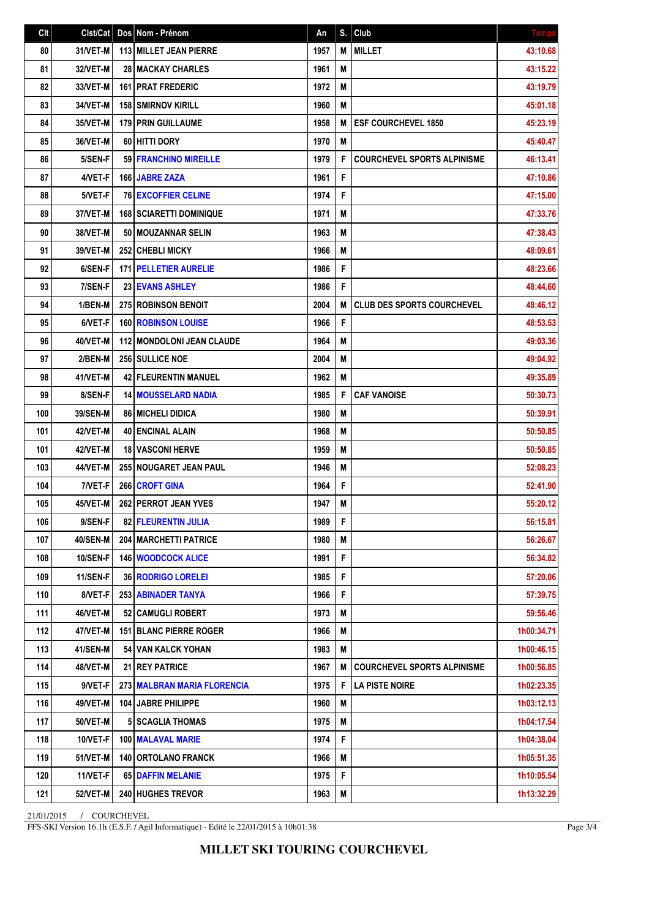| Clt | Clst/Cat        | Dos Nom - Prénom                 | An   | S. | Club                               | <b>Temps</b> |
|-----|-----------------|----------------------------------|------|----|------------------------------------|--------------|
| 80  | 31/VET-M        | 113 MILLET JEAN PIERRE           | 1957 | M  | <b>MILLET</b>                      | 43:10.68     |
| 81  | 32/VET-M        | <b>28 MACKAY CHARLES</b>         | 1961 | M  |                                    | 43:15.22     |
| 82  | 33/VET-M        | <b>161 I PRAT FREDERIC</b>       | 1972 | M  |                                    | 43:19.79     |
| 83  | 34/VET-M        | <b>158 SMIRNOV KIRILL</b>        | 1960 | M  |                                    | 45:01.18     |
| 84  | 35/VET-M        | <b>179 PRIN GUILLAUME</b>        | 1958 | M  | <b>ESF COURCHEVEL 1850</b>         | 45:23.19     |
| 85  | 36/VET-M        | 60 HITTI DORY                    | 1970 | M  |                                    | 45:40.47     |
| 86  | 5/SEN-F         | <b>59 FRANCHINO MIREILLE</b>     | 1979 | F  | <b>COURCHEVEL SPORTS ALPINISME</b> | 46:13.41     |
| 87  | 4/VET-F         | 166 JABRE ZAZA                   | 1961 | F  |                                    | 47:10.86     |
| 88  | 5/VET-F         | <b>76 EXCOFFIER CELINE</b>       | 1974 | F  |                                    | 47:15.00     |
| 89  | 37/VET-M        | <b>168   SCIARETTI DOMINIQUE</b> | 1971 | M  |                                    | 47:33.76     |
| 90  | 38/VET-M        | 50   MOUZANNAR SELIN             | 1963 | Μ  |                                    | 47:38.43     |
| 91  | <b>39/VET-M</b> | 252 CHEBLI MICKY                 | 1966 | M  |                                    | 48:09.61     |
| 92  | 6/SEN-F         | <b>171   PELLETIER AURELIE</b>   | 1986 | F  |                                    | 48:23.66     |
| 93  | 7/SEN-F         | <b>23 EVANS ASHLEY</b>           | 1986 | F  |                                    | 48:44.60     |
| 94  | 1/BEN-M         | <b>275 ROBINSON BENOIT</b>       | 2004 | M  | <b>CLUB DES SPORTS COURCHEVEL</b>  | 48:46.12     |
| 95  | 6/VET-F         | <b>160   ROBINSON LOUISE</b>     | 1966 | F  |                                    | 48:53.53     |
| 96  | 40/VET-M        | 112 MONDOLONI JEAN CLAUDE        | 1964 | M  |                                    | 49:03.36     |
| 97  | 2/BEN-M         | <b>256 SULLICE NOE</b>           | 2004 | M  |                                    | 49:04.92     |
| 98  | 41/VET-M        | <b>42   FLEURENTIN MANUEL</b>    | 1962 | M  |                                    | 49:35.89     |
| 99  | 8/SEN-F         | <b>14   MOUSSELARD NADIA</b>     | 1985 | F  | <b>CAF VANOISE</b>                 | 50:30.73     |
| 100 | 39/SEN-M        | <b>86   MICHELI DIDICA</b>       | 1980 | M  |                                    | 50:39.91     |
| 101 | 42/VET-M        | 40 ENCINAL ALAIN                 | 1968 | M  |                                    | 50:50.85     |
| 101 | 42/VET-M        | <b>18 VASCONI HERVE</b>          | 1959 | M  |                                    | 50:50.85     |
| 103 | 44/VET-M        | 255 NOUGARET JEAN PAUL           | 1946 | M  |                                    | 52:08.23     |
| 104 | 7/VET-F         | 266 CROFT GINA                   | 1964 | F  |                                    | 52:41.90     |
| 105 | 45/VET-M        | 262 PERROT JEAN YVES             | 1947 | M  |                                    | 55:20.12     |
| 106 | 9/SEN-F         | 82 FLEURENTIN JULIA              | 1989 | F  |                                    | 56:15.81     |
| 107 | <b>40/SEN-M</b> | <b>204   MARCHETTI PATRICE</b>   | 1980 | M  |                                    | 56:26.67     |
| 108 | <b>10/SEN-F</b> | <b>146 WOODCOCK ALICE</b>        | 1991 | F  |                                    | 56:34.82     |
| 109 | 11/SEN-F        | <b>36 RODRIGO LORELEI</b>        | 1985 | F  |                                    | 57:20.06     |
| 110 | 8/VET-F         | 253   ABINADER TANYA             | 1966 | F  |                                    | 57:39.75     |
| 111 | 46/VET-M        | <b>52 CAMUGLI ROBERT</b>         | 1973 | M  |                                    | 59:56.46     |
| 112 | 47/VET-M        | <b>151 BLANC PIERRE ROGER</b>    | 1966 | Μ  |                                    | 1h00:34.71   |
| 113 | 41/SEN-M        | 54 VAN KALCK YOHAN               | 1983 | M  |                                    | 1h00:46.15   |
| 114 | 48/VET-M        | 21 REY PATRICE                   | 1967 | M  | <b>COURCHEVEL SPORTS ALPINISME</b> | 1h00:56.85   |
| 115 | 9/VET-F         | 273 MALBRAN MARIA FLORENCIA      | 1975 | F  | <b>LA PISTE NOIRE</b>              | 1h02:23.35   |
| 116 | 49/VET-M        | 104 JABRE PHILIPPE               | 1960 | Μ  |                                    | 1h03:12.13   |
| 117 | <b>50/VET-M</b> | <b>5 SCAGLIA THOMAS</b>          | 1975 | M  |                                    | 1h04:17.54   |
| 118 | 10/VET-F        | 100 MALAVAL MARIE                | 1974 | F  |                                    | 1h04:38.04   |
| 119 | 51/VET-M        | 140 ORTOLANO FRANCK              | 1966 | M  |                                    | 1h05:51.35   |
| 120 | 11/VET-F        | 65 DAFFIN MELANIE                | 1975 | F  |                                    | 1h10:05.54   |
| 121 | <b>52/VET-M</b> | 240 HUGHES TREVOR                | 1963 | M  |                                    | 1h13:32.29   |

21/01/2015 / COURCHEVEL

FFS-SKI Version 16.1h (E.S.F. / Agil Informatique) - Edité le 22/01/2015 à 10h01:38

Page 3/4